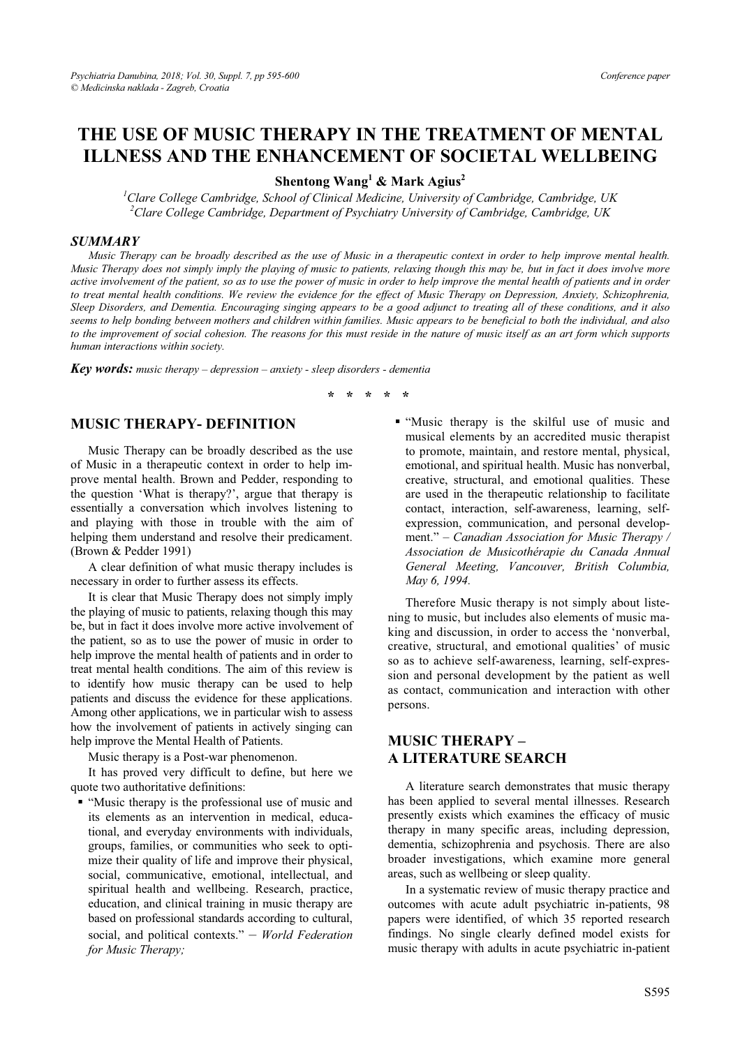# **THE USE OF MUSIC THERAPY IN THE TREATMENT OF MENTAL**

**ILLNESS AND ILLET SHEET GETS** Mark Agius<sup>2</sup>

**Shentong Wang & Mark Agius**<br>2<sup>1</sup> Clare College Cambridge, School of Clinical Medicine, University of Cambridge, Cambridge, UK<br><sup>2</sup> Clare College Cambridge, Department of Payehistry University of Cambridge, Cambridge, UK *Clare College Cambridge, Department of Psychiatry University of Cambridge, Cambridge, UK* 

#### *SUMMARY*

*Music Therapy can be broadly described as the use of Music in a therapeutic context in order to help improve mental health. Music Therapy does not simply imply the playing of music to patients, relaxing though this may be, but in fact it does involve more active involvement of the patient, so as to use the power of music in order to help improve the mental health of patients and in order to treat mental health conditions. We review the evidence for the effect of Music Therapy on Depression, Anxiety, Schizophrenia, Sleep Disorders, and Dementia. Encouraging singing appears to be a good adjunct to treating all of these conditions, and it also seems to help bonding between mothers and children within families. Music appears to be beneficial to both the individual, and also to the improvement of social cohesion. The reasons for this must reside in the nature of music itself as an art form which supports human interactions within society.* 

*Key words: music therapy – depression – anxiety - sleep disorders - dementia* 

### **MUSIC THERAPY- DEFINITION**

Music Therapy can be broadly described as the use of Music in a therapeutic context in order to help improve mental health. Brown and Pedder, responding to the question 'What is therapy?', argue that therapy is essentially a conversation which involves listening to and playing with those in trouble with the aim of helping them understand and resolve their predicament. (Brown & Pedder 1991)

A clear definition of what music therapy includes is necessary in order to further assess its effects.

It is clear that Music Therapy does not simply imply the playing of music to patients, relaxing though this may be, but in fact it does involve more active involvement of the patient, so as to use the power of music in order to help improve the mental health of patients and in order to treat mental health conditions. The aim of this review is to identify how music therapy can be used to help patients and discuss the evidence for these applications. Among other applications, we in particular wish to assess how the involvement of patients in actively singing can help improve the Mental Health of Patients.

Music therapy is a Post-war phenomenon.

It has proved very difficult to define, but here we quote two authoritative definitions:

 "Music therapy is the professional use of music and its elements as an intervention in medical, educational, and everyday environments with individuals, groups, families, or communities who seek to optimize their quality of life and improve their physical, social, communicative, emotional, intellectual, and spiritual health and wellbeing. Research, practice, education, and clinical training in music therapy are based on professional standards according to cultural, social, and political contexts." – *World Federation for Music Therapy;* 

 "Music therapy is the skilful use of music and musical elements by an accredited music therapist to promote, maintain, and restore mental, physical, emotional, and spiritual health. Music has nonverbal, creative, structural, and emotional qualities. These are used in the therapeutic relationship to facilitate contact, interaction, self-awareness, learning, selfexpression, communication, and personal development." – *Canadian Association for Music Therapy / Association de Musicothérapie du Canada Annual General Meeting, Vancouver, British Columbia, May 6, 1994.*

Therefore Music therapy is not simply about listening to music, but includes also elements of music making and discussion, in order to access the 'nonverbal, creative, structural, and emotional qualities' of music so as to achieve self-awareness, learning, self-expression and personal development by the patient as well as contact, communication and interaction with other persons.

### **MUSIC THERAPY –<br>A LITERATURE SEARCH A LITERATURE SEARCH**

A literature search demonstrates that music therapy has been applied to several mental illnesses. Research presently exists which examines the efficacy of music therapy in many specific areas, including depression, dementia, schizophrenia and psychosis. There are also broader investigations, which examine more general areas, such as wellbeing or sleep quality.

In a systematic review of music therapy practice and outcomes with acute adult psychiatric in-patients, 98 papers were identified, of which 35 reported research findings. No single clearly defined model exists for music therapy with adults in acute psychiatric in-patient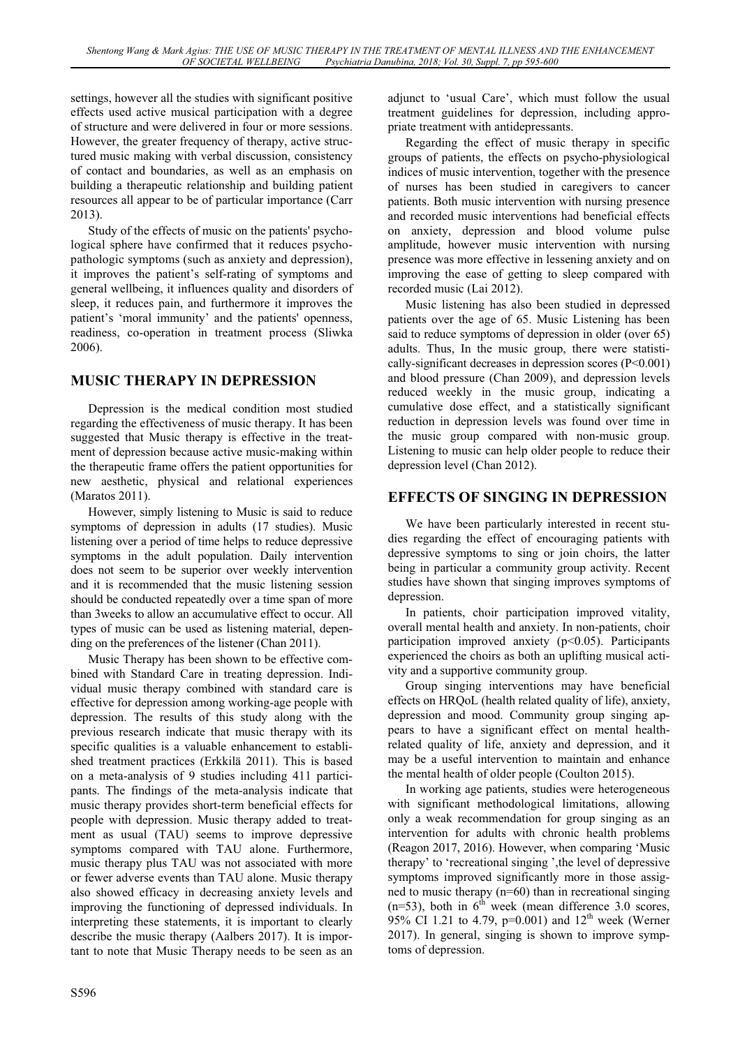settings, however all the studies with significant positive effects used active musical participation with a degree of structure and were delivered in four or more sessions. However, the greater frequency of therapy, active structured music making with verbal discussion, consistency of contact and boundaries, as well as an emphasis on building a therapeutic relationship and building patient resources all appear to be of particular importance (Carr 2013).

Study of the effects of music on the patients' psychological sphere have confirmed that it reduces psychopathologic symptoms (such as anxiety and depression), it improves the patient's self-rating of symptoms and general wellbeing, it influences quality and disorders of sleep, it reduces pain, and furthermore it improves the patient's 'moral immunity' and the patients' openness, readiness, co-operation in treatment process (Sliwka 2006).

#### **MUSIC THERAPY IN DEPRESSION MUSIC THERAPY IN DEPRESSION**

Depression is the medical condition most studied regarding the effectiveness of music therapy. It has been suggested that Music therapy is effective in the treatment of depression because active music-making within the therapeutic frame offers the patient opportunities for new aesthetic, physical and relational experiences (Maratos 2011).

However, simply listening to Music is said to reduce symptoms of depression in adults (17 studies). Music listening over a period of time helps to reduce depressive symptoms in the adult population. Daily intervention does not seem to be superior over weekly intervention and it is recommended that the music listening session should be conducted repeatedly over a time span of more than 3weeks to allow an accumulative effect to occur. All types of music can be used as listening material, depending on the preferences of the listener (Chan 2011).

Music Therapy has been shown to be effective combined with Standard Care in treating depression. Individual music therapy combined with standard care is effective for depression among working-age people with depression. The results of this study along with the previous research indicate that music therapy with its specific qualities is a valuable enhancement to established treatment practices (Erkkilä 2011). This is based on a meta-analysis of 9 studies including 411 participants. The findings of the meta-analysis indicate that music therapy provides short-term beneficial effects for people with depression. Music therapy added to treatment as usual (TAU) seems to improve depressive symptoms compared with TAU alone. Furthermore, music therapy plus TAU was not associated with more or fewer adverse events than TAU alone. Music therapy also showed efficacy in decreasing anxiety levels and improving the functioning of depressed individuals. In interpreting these statements, it is important to clearly describe the music therapy (Aalbers 2017). It is important to note that Music Therapy needs to be seen as an

adjunct to 'usual Care', which must follow the usual treatment guidelines for depression, including appropriate treatment with antidepressants.

Regarding the effect of music therapy in specific groups of patients, the effects on psycho-physiological indices of music intervention, together with the presence of nurses has been studied in caregivers to cancer patients. Both music intervention with nursing presence and recorded music interventions had beneficial effects on anxiety, depression and blood volume pulse amplitude, however music intervention with nursing presence was more effective in lessening anxiety and on improving the ease of getting to sleep compared with recorded music (Lai 2012).

Music listening has also been studied in depressed patients over the age of 65. Music Listening has been said to reduce symptoms of depression in older (over 65) adults. Thus, In the music group, there were statistically-significant decreases in depression scores (P<0.001) and blood pressure (Chan 2009), and depression levels reduced weekly in the music group, indicating a cumulative dose effect, and a statistically significant reduction in depression levels was found over time in the music group compared with non-music group. Listening to music can help older people to reduce their depression level (Chan 2012).

## **EFFECTS OF SINGING IN DEPRESSION**

We have been particularly interested in recent studies regarding the effect of encouraging patients with depressive symptoms to sing or join choirs, the latter being in particular a community group activity. Recent studies have shown that singing improves symptoms of depression.

In patients, choir participation improved vitality, overall mental health and anxiety. In non-patients, choir participation improved anxiety  $(p<0.05)$ . Participants experienced the choirs as both an uplifting musical activity and a supportive community group.

Group singing interventions may have beneficial effects on HRQoL (health related quality of life), anxiety, depression and mood. Community group singing appears to have a significant effect on mental healthrelated quality of life, anxiety and depression, and it may be a useful intervention to maintain and enhance the mental health of older people (Coulton 2015).

In working age patients, studies were heterogeneous with significant methodological limitations, allowing only a weak recommendation for group singing as an intervention for adults with chronic health problems (Reagon 2017, 2016). However, when comparing 'Music therapy' to 'recreational singing ',the level of depressive symptoms improved significantly more in those assigned to music therapy (n=60) than in recreational singing  $(n=53)$ , both in  $6<sup>th</sup>$  week (mean difference 3.0 scores, 95% CI 1.21 to 4.79, p=0.001) and  $12^{th}$  week (Werner 2017). In general, singing is shown to improve symptoms of depression.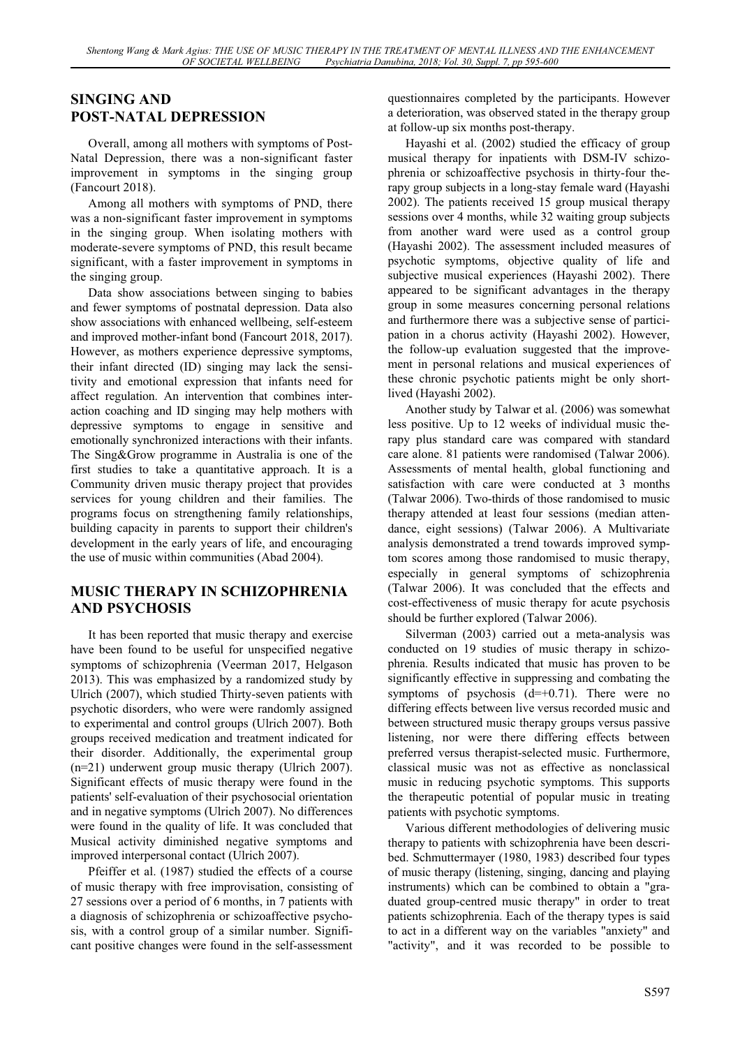### **SINGING AND<br>POST-NATAL DEPRESSION POST-NATAL DEPRESSION**

Overall, among all mothers with symptoms of Post-Natal Depression, there was a non-significant faster improvement in symptoms in the singing group (Fancourt 2018).

Among all mothers with symptoms of PND, there was a non-significant faster improvement in symptoms in the singing group. When isolating mothers with moderate-severe symptoms of PND, this result became significant, with a faster improvement in symptoms in the singing group.

Data show associations between singing to babies and fewer symptoms of postnatal depression. Data also show associations with enhanced wellbeing, self-esteem and improved mother-infant bond (Fancourt 2018, 2017). However, as mothers experience depressive symptoms, their infant directed (ID) singing may lack the sensitivity and emotional expression that infants need for affect regulation. An intervention that combines interaction coaching and ID singing may help mothers with depressive symptoms to engage in sensitive and emotionally synchronized interactions with their infants. The Sing&Grow programme in Australia is one of the first studies to take a quantitative approach. It is a Community driven music therapy project that provides services for young children and their families. The programs focus on strengthening family relationships, building capacity in parents to support their children's development in the early years of life, and encouraging the use of music within communities (Abad 2004).

#### **MUSIC THERAPY IN SCHIZOPHRENIA AND PSYCHOSIS AND PSYCHOSIS**

It has been reported that music therapy and exercise have been found to be useful for unspecified negative symptoms of schizophrenia (Veerman 2017, Helgason 2013). This was emphasized by a randomized study by Ulrich (2007), which studied Thirty-seven patients with psychotic disorders, who were were randomly assigned to experimental and control groups (Ulrich 2007). Both groups received medication and treatment indicated for their disorder. Additionally, the experimental group (n=21) underwent group music therapy (Ulrich 2007). Significant effects of music therapy were found in the patients' self-evaluation of their psychosocial orientation and in negative symptoms (Ulrich 2007). No differences were found in the quality of life. It was concluded that Musical activity diminished negative symptoms and improved interpersonal contact (Ulrich 2007).

Pfeiffer et al. (1987) studied the effects of a course of music therapy with free improvisation, consisting of 27 sessions over a period of 6 months, in 7 patients with a diagnosis of schizophrenia or schizoaffective psychosis, with a control group of a similar number. Significant positive changes were found in the self-assessment questionnaires completed by the participants. However a deterioration, was observed stated in the therapy group at follow-up six months post-therapy.

Hayashi et al. (2002) studied the efficacy of group musical therapy for inpatients with DSM-IV schizophrenia or schizoaffective psychosis in thirty-four therapy group subjects in a long-stay female ward (Hayashi 2002). The patients received 15 group musical therapy sessions over 4 months, while 32 waiting group subjects from another ward were used as a control group (Hayashi 2002). The assessment included measures of psychotic symptoms, objective quality of life and subjective musical experiences (Hayashi 2002). There appeared to be significant advantages in the therapy group in some measures concerning personal relations and furthermore there was a subjective sense of participation in a chorus activity (Hayashi 2002). However, the follow-up evaluation suggested that the improvement in personal relations and musical experiences of these chronic psychotic patients might be only shortlived (Hayashi 2002).

Another study by Talwar et al. (2006) was somewhat less positive. Up to 12 weeks of individual music therapy plus standard care was compared with standard care alone. 81 patients were randomised (Talwar 2006). Assessments of mental health, global functioning and satisfaction with care were conducted at 3 months (Talwar 2006). Two-thirds of those randomised to music therapy attended at least four sessions (median attendance, eight sessions) (Talwar 2006). A Multivariate analysis demonstrated a trend towards improved symptom scores among those randomised to music therapy, especially in general symptoms of schizophrenia (Talwar 2006). It was concluded that the effects and cost-effectiveness of music therapy for acute psychosis should be further explored (Talwar 2006).

Silverman (2003) carried out a meta-analysis was conducted on 19 studies of music therapy in schizophrenia. Results indicated that music has proven to be significantly effective in suppressing and combating the symptoms of psychosis  $(d=+0.71)$ . There were no differing effects between live versus recorded music and between structured music therapy groups versus passive listening, nor were there differing effects between preferred versus therapist-selected music. Furthermore, classical music was not as effective as nonclassical music in reducing psychotic symptoms. This supports the therapeutic potential of popular music in treating patients with psychotic symptoms.

Various different methodologies of delivering music therapy to patients with schizophrenia have been described. Schmuttermayer (1980, 1983) described four types of music therapy (listening, singing, dancing and playing instruments) which can be combined to obtain a "graduated group-centred music therapy" in order to treat patients schizophrenia. Each of the therapy types is said to act in a different way on the variables "anxiety" and "activity", and it was recorded to be possible to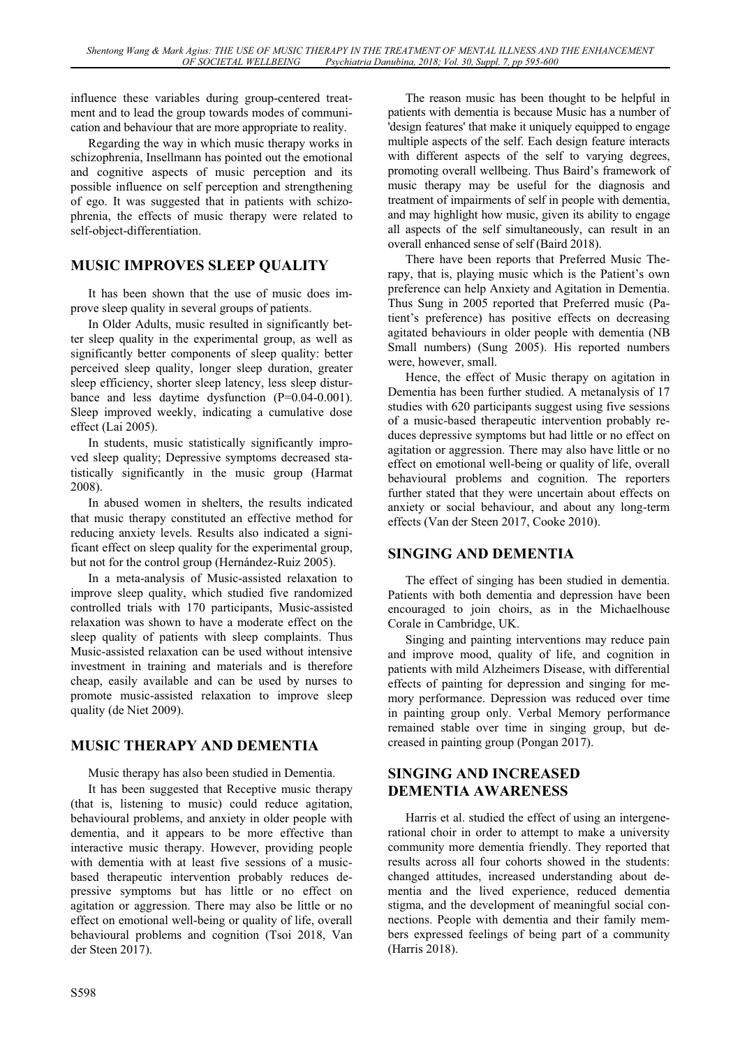influence these variables during group-centered treatment and to lead the group towards modes of communication and behaviour that are more appropriate to reality.

Regarding the way in which music therapy works in schizophrenia, Insellmann has pointed out the emotional and cognitive aspects of music perception and its possible influence on self perception and strengthening of ego. It was suggested that in patients with schizophrenia, the effects of music therapy were related to self-object-differentiation.

### **MUSIC IMPROVES SLEEP QUALITY**

It has been shown that the use of music does improve sleep quality in several groups of patients.

In Older Adults, music resulted in significantly better sleep quality in the experimental group, as well as significantly better components of sleep quality: better perceived sleep quality, longer sleep duration, greater sleep efficiency, shorter sleep latency, less sleep disturbance and less daytime dysfunction (P=0.04-0.001). Sleep improved weekly, indicating a cumulative dose effect (Lai 2005).

In students, music statistically significantly improved sleep quality; Depressive symptoms decreased statistically significantly in the music group (Harmat 2008).

In abused women in shelters, the results indicated that music therapy constituted an effective method for reducing anxiety levels. Results also indicated a significant effect on sleep quality for the experimental group, but not for the control group (Hernández-Ruiz 2005).

In a meta-analysis of Music-assisted relaxation to improve sleep quality, which studied five randomized controlled trials with 170 participants, Music-assisted relaxation was shown to have a moderate effect on the sleep quality of patients with sleep complaints. Thus Music-assisted relaxation can be used without intensive investment in training and materials and is therefore cheap, easily available and can be used by nurses to promote music-assisted relaxation to improve sleep quality (de Niet 2009).

### **MUSIC THERAPY AND DEMENTIA**

Music therapy has also been studied in Dementia.

It has been suggested that Receptive music therapy (that is, listening to music) could reduce agitation, behavioural problems, and anxiety in older people with dementia, and it appears to be more effective than interactive music therapy. However, providing people with dementia with at least five sessions of a musicbased therapeutic intervention probably reduces depressive symptoms but has little or no effect on agitation or aggression. There may also be little or no effect on emotional well-being or quality of life, overall behavioural problems and cognition (Tsoi 2018, Van der Steen 2017).

The reason music has been thought to be helpful in patients with dementia is because Music has a number of 'design features' that make it uniquely equipped to engage multiple aspects of the self. Each design feature interacts with different aspects of the self to varying degrees, promoting overall wellbeing. Thus Baird's framework of music therapy may be useful for the diagnosis and treatment of impairments of self in people with dementia, and may highlight how music, given its ability to engage all aspects of the self simultaneously, can result in an overall enhanced sense of self (Baird 2018).

There have been reports that Preferred Music Therapy, that is, playing music which is the Patient's own preference can help Anxiety and Agitation in Dementia. Thus Sung in 2005 reported that Preferred music (Patient's preference) has positive effects on decreasing agitated behaviours in older people with dementia (NB Small numbers) (Sung 2005). His reported numbers were, however, small.

Hence, the effect of Music therapy on agitation in Dementia has been further studied. A metanalysis of 17 studies with 620 participants suggest using five sessions of a music-based therapeutic intervention probably reduces depressive symptoms but had little or no effect on agitation or aggression. There may also have little or no effect on emotional well-being or quality of life, overall behavioural problems and cognition. The reporters further stated that they were uncertain about effects on anxiety or social behaviour, and about any long-term effects (Van der Steen 2017, Cooke 2010).

### **SINGING AND DEMENTIA**

The effect of singing has been studied in dementia. Patients with both dementia and depression have been encouraged to join choirs, as in the Michaelhouse Corale in Cambridge, UK.

Singing and painting interventions may reduce pain and improve mood, quality of life, and cognition in patients with mild Alzheimers Disease, with differential effects of painting for depression and singing for memory performance. Depression was reduced over time in painting group only. Verbal Memory performance remained stable over time in singing group, but decreased in painting group (Pongan 2017).

#### **SINGING AND INCREASED DEMENTIA AWARENESS DEMENTIA AWARENESS**

Harris et al. studied the effect of using an intergenerational choir in order to attempt to make a university community more dementia friendly. They reported that results across all four cohorts showed in the students: changed attitudes, increased understanding about dementia and the lived experience, reduced dementia stigma, and the development of meaningful social connections. People with dementia and their family members expressed feelings of being part of a community (Harris 2018).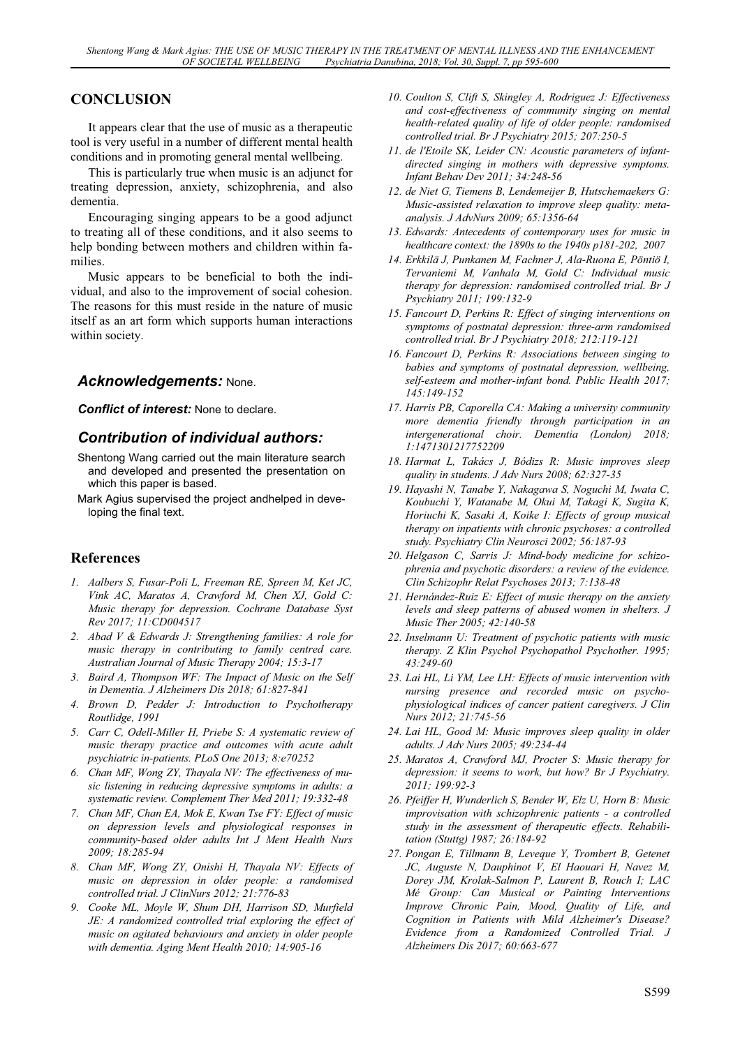### **CONCLUSION**

It appears clear that the use of music as a therapeutic tool is very useful in a number of different mental health conditions and in promoting general mental wellbeing.

This is particularly true when music is an adjunct for treating depression, anxiety, schizophrenia, and also dementia.

Encouraging singing appears to be a good adjunct to treating all of these conditions, and it also seems to help bonding between mothers and children within families.

Music appears to be beneficial to both the individual, and also to the improvement of social cohesion. The reasons for this must reside in the nature of music itself as an art form which supports human interactions within society.

#### *Acknowledgements:* None.

*Conflict of interest:* None to declare.

#### *Contribution of individual authors:*

- Shentong Wang carried out the main literature search and developed and presented the presentation on which this paper is based.
- Mark Agius supervised the project andhelped in developing the final text.

- *1. Aalbers S, Fusar-Poli L, Freeman RE, Spreen M, Ket JC, Vink AC, Maratos A, Crawford M, Chen XJ, Gold C: Music therapy for depression. Cochrane Database Syst Rev 2017; 11:CD004517*
- *2. Abad V & Edwards J: Strengthening families: A role for music therapy in contributing to family centred care. Australian Journal of Music Therapy 2004; 15:3-17*
- *3. Baird A, Thompson WF: The Impact of Music on the Self in Dementia. J Alzheimers Dis 2018; 61:827-841*
- *4. Brown D, Pedder J: Introduction to Psychotherapy Routlidge, 1991*
- *5. Carr C, Odell-Miller H, Priebe S: A systematic review of music therapy practice and outcomes with acute adult psychiatric in-patients. PLoS One 2013; 8:e70252*
- *6. Chan MF, Wong ZY, Thayala NV: The effectiveness of music listening in reducing depressive symptoms in adults: a systematic review. Complement Ther Med 2011; 19:332-48*
- *7. Chan MF, Chan EA, Mok E, Kwan Tse FY: Effect of music on depression levels and physiological responses in community-based older adults Int J Ment Health Nurs 2009; 18:285-94*
- *8. Chan MF, Wong ZY, Onishi H, Thayala NV: Effects of music on depression in older people: a randomised controlled trial. J ClinNurs 2012; 21:776-83*
- *9. Cooke ML, Moyle W, Shum DH, Harrison SD, Murfield JE: A randomized controlled trial exploring the effect of music on agitated behaviours and anxiety in older people with dementia. Aging Ment Health 2010; 14:905-16*
- *10. Coulton S, Clift S, Skingley A, Rodriguez J: Effectiveness and cost-effectiveness of community singing on mental health-related quality of life of older people: randomised controlled trial. Br J Psychiatry 2015; 207:250-5*
- *11. de l'Etoile SK, Leider CN: Acoustic parameters of infantdirected singing in mothers with depressive symptoms. Infant Behav Dev 2011; 34:248-56*
- *12. de Niet G, Tiemens B, Lendemeijer B, Hutschemaekers G: Music-assisted relaxation to improve sleep quality: metaanalysis. J AdvNurs 2009; 65:1356-64*
- *13. Edwards: Antecedents of contemporary uses for music in healthcare context: the 1890s to the 1940s p181-202, 2007*
- *14. Erkkilä J, Punkanen M, Fachner J, Ala-Ruona E, Pöntiö I, Tervaniemi M, Vanhala M, Gold C: Individual music therapy for depression: randomised controlled trial. Br J Psychiatry 2011; 199:132-9*
- *15. Fancourt D, Perkins R: Effect of singing interventions on symptoms of postnatal depression: three-arm randomised controlled trial. Br J Psychiatry 2018; 212:119-121*
- *16. Fancourt D, Perkins R: Associations between singing to babies and symptoms of postnatal depression, wellbeing, self-esteem and mother-infant bond. Public Health 2017; 145:149-152*
- *17. Harris PB, Caporella CA: Making a university community more dementia friendly through participation in an intergenerational choir. Dementia (London) 2018; 1:1471301217752209*
- *18. Harmat L, Takács J, Bódizs R: Music improves sleep quality in students. J Adv Nurs 2008; 62:327-35*
- *19. Hayashi N, Tanabe Y, Nakagawa S, Noguchi M, Iwata C, Koubuchi Y, Watanabe M, Okui M, Takagi K, Sugita K, Horiuchi K, Sasaki A, Koike I: Effects of group musical therapy on inpatients with chronic psychoses: a controlled study. Psychiatry Clin Neurosci 2002; 56:187-93*
- *20. Helgason C, Sarris J: Mind-body medicine for schizophrenia and psychotic disorders: a review of the evidence. Clin Schizophr Relat Psychoses 2013; 7:138-48*
- *21. Hernández-Ruiz E: Effect of music therapy on the anxiety levels and sleep patterns of abused women in shelters. J Music Ther 2005; 42:140-58*
- *22. Inselmann U: Treatment of psychotic patients with music therapy. Z Klin Psychol Psychopathol Psychother. 1995; 43:249-60*
- *23. Lai HL, Li YM, Lee LH: Effects of music intervention with nursing presence and recorded music on psychophysiological indices of cancer patient caregivers. J Clin Nurs 2012; 21:745-56*
- *24. Lai HL, Good M: Music improves sleep quality in older adults. J Adv Nurs 2005; 49:234-44*
- *25. Maratos A, Crawford MJ, Procter S: Music therapy for depression: it seems to work, but how? Br J Psychiatry. 2011; 199:92-3*
- *26. Pfeiffer H, Wunderlich S, Bender W, Elz U, Horn B: Music improvisation with schizophrenic patients - a controlled study in the assessment of therapeutic effects. Rehabilitation (Stuttg) 1987; 26:184-92*
- *27. Pongan E, Tillmann B, Leveque Y, Trombert B, Getenet JC, Auguste N, Dauphinot V, El Haouari H, Navez M, Dorey JM, Krolak-Salmon P, Laurent B, Rouch I; LAC Mé Group: Can Musical or Painting Interventions Improve Chronic Pain, Mood, Quality of Life, and Cognition in Patients with Mild Alzheimer's Disease? Evidence from a Randomized Controlled Trial. J Alzheimers Dis 2017; 60:663-677*